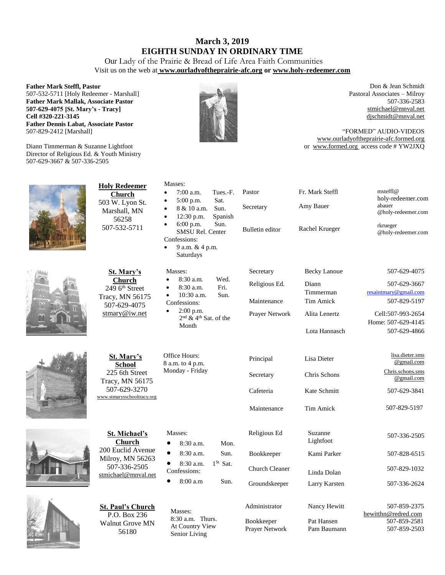## **March 3, 2019 EIGHTH SUNDAY IN ORDINARY TIME**

Our Lady of the Prairie & Bread of Life Area Faith Communities Visit us on the web at **[www.ourladyoftheprairie-afc.org](http://www.ourladyoftheprairie-afc.org/) or www.holy-redeemer.com**

#### **Father Mark Steffl, Pastor**

507-532-5711 [Holy Redeemer - Marshall] **Father Mark Mallak, Associate Pastor 507-629-4075 [St. Mary's - Tracy] Cell #320-221-3145 Father Dennis Labat, Associate Pastor** 507-829-2412 [Marshall]

Diann Timmerman & Suzanne Lightfoot Director of Religious Ed. & Youth Ministry 507-629-3667 & 507-336-2505



Don & Jean Schmidt Pastoral Associates – Milroy 507-336-2583 [stmichael@mnval.net](mailto:stmichael@means.net) [djschmidt@mnval.net](mailto:djschmidt@mnval.net)

"FORMED" AUDIO-VIDEOS [www.ourladyoftheprairie-afc.formed.org](http://www.ourladyoftheprairie-afc.formed.org/) or www.formed.org access code # YW2JXQ











| <b>Holy Redeemer</b><br><b>Church</b><br>503 W. Lyon St.<br>Marshall, MN<br>56258<br>507-532-5711                     | Masses:<br>$7:00$ a.m.<br>Tues.-F.<br>Sat.<br>$5:00$ p.m.<br>$\bullet$<br>Sun.<br>8 & 10 a.m.<br>$\bullet$<br>12:30 p.m.<br>Spanish<br>$\bullet$<br>$6:00$ p.m.<br>Sun.<br>SMSU Rel. Center<br>Confessions:<br>9 a.m. & 4 p.m.<br>$\bullet$<br>Saturdays | Pastor<br>Secretary<br>Bulletin editor                        | Fr. Mark Steffl<br>Amy Bauer<br>Rachel Krueger                                                  | $m\n{set}$ fl $@$<br>holy-redeemer.com<br>abauer<br>@holy-redeemer.com<br>rkrueger<br>@holy-redeemer.com                         |
|-----------------------------------------------------------------------------------------------------------------------|----------------------------------------------------------------------------------------------------------------------------------------------------------------------------------------------------------------------------------------------------------|---------------------------------------------------------------|-------------------------------------------------------------------------------------------------|----------------------------------------------------------------------------------------------------------------------------------|
| <b>St. Mary's</b><br><b>Church</b><br>$2496$ <sup>th</sup> Street<br>Tracy, MN 56175<br>507-629-4075<br>stmary@iw.net | Masses:<br>$8:30$ a.m.<br>Wed.<br>$\bullet$<br>Fri.<br>8:30 a.m.<br>10:30 a.m.<br>Sun.<br>Confessions:<br>$2:00$ p.m.<br>$2nd$ & 4 <sup>th</sup> Sat. of the<br>Month                                                                                    | Secretary<br>Religious Ed.<br>Maintenance<br>Prayer Network   | <b>Becky Lanoue</b><br>Diann<br>Timmerman<br><b>Tim Amick</b><br>Alita Lenertz<br>Lota Hannasch | 507-629-4075<br>507-629-3667<br>resaintmary@gmail.com<br>507-829-5197<br>Cell:507-993-2654<br>Home: 507-629-4145<br>507-629-4866 |
| St. Mary's<br>School<br>225 6th Street<br>Tracy, MN 56175<br>507-629-3270<br>www.stmarysschooltracy.org               | Office Hours:<br>8 a.m. to 4 p.m.<br>Monday - Friday                                                                                                                                                                                                     | Principal<br>Secretary<br>Cafeteria<br>Maintenance            | Lisa Dieter<br>Chris Schons<br>Kate Schmitt<br>Tim Amick                                        | lisa.dieter.sms<br>@gmail.com<br>Chris.schons.sms<br>@gmail.com<br>507-629-3841<br>507-829-5197                                  |
| <b>St. Michael's</b><br><b>Church</b><br>200 Euclid Avenue<br>Milroy, MN 56263<br>507-336-2505<br>stmichael@mnval.net | Masses:<br>$8:30$ a.m.<br>Mon.<br>$\bullet$<br>$\bullet$<br>8:30 a.m.<br>Sun.<br>$1^{St}$ Sat.<br>8:30 a.m.<br>$\bullet$<br>Confessions:<br>8:00a.m<br>Sun.<br>$\bullet$                                                                                 | Religious Ed<br>Bookkeeper<br>Church Cleaner<br>Groundskeeper | Suzanne<br>Lightfoot<br>Kami Parker<br>Linda Dolan<br>Larry Karsten                             | 507-336-2505<br>507-828-6515<br>507-829-1032<br>507-336-2624                                                                     |
| St. Paul's Church                                                                                                     | $\mathbf{r}$                                                                                                                                                                                                                                             | Administrator                                                 | Nancy Hewitt                                                                                    | 507-859-2375                                                                                                                     |

Masses: 8:30 a.m. Thurs. At Country View Senior Living

P.O. Box 236 Walnut Grove MN 56180

| Groundskeeper     |  |
|-------------------|--|
| Administrator     |  |
| <b>Bookkeeper</b> |  |

| <b>Bookkeeper</b> |  |
|-------------------|--|
| Prayer Network    |  |

| Nancy Hewitt                |
|-----------------------------|
| Pat Hansen<br>$Dom$ Doumann |

 [hewitthn@redred.com](mailto:hewitthn@redred.com) 507-859-2581 Pam Baumann 507-859-2503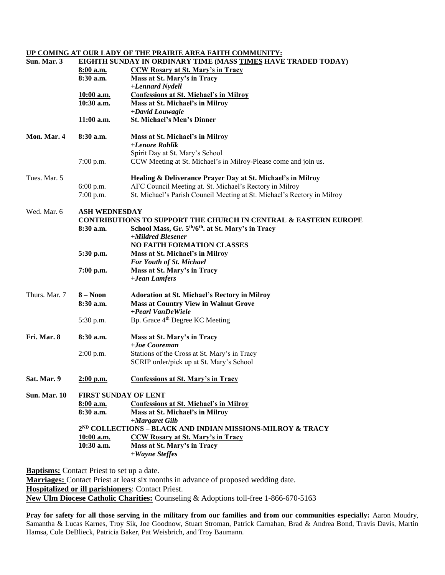#### **UP COMING AT OUR LADY OF THE PRAIRIE AREA FAITH COMMUNITY:**

| Sun. Mar. 3         | EIGHTH SUNDAY IN ORDINARY TIME (MASS TIMES HAVE TRADED TODAY) |                                                                                                 |  |  |  |
|---------------------|---------------------------------------------------------------|-------------------------------------------------------------------------------------------------|--|--|--|
|                     | 8:00 a.m.                                                     | <b>CCW Rosary at St. Mary's in Tracy</b>                                                        |  |  |  |
|                     | 8:30 a.m.                                                     | Mass at St. Mary's in Tracy                                                                     |  |  |  |
|                     |                                                               | +Lennard Nydell                                                                                 |  |  |  |
|                     | 10:00 a.m.                                                    | <b>Confessions at St. Michael's in Milroy</b>                                                   |  |  |  |
|                     | $10:30$ a.m.                                                  | Mass at St. Michael's in Milroy                                                                 |  |  |  |
|                     | $11:00$ a.m.                                                  | +David Louwagie<br><b>St. Michael's Men's Dinner</b>                                            |  |  |  |
| Mon. Mar. 4         | 8:30 a.m.                                                     |                                                                                                 |  |  |  |
|                     |                                                               | Mass at St. Michael's in Milroy<br>+Lenore Rohlik                                               |  |  |  |
|                     |                                                               | Spirit Day at St. Mary's School                                                                 |  |  |  |
|                     | $7:00$ p.m.                                                   | CCW Meeting at St. Michael's in Milroy-Please come and join us.                                 |  |  |  |
| Tues. Mar. 5        |                                                               | Healing & Deliverance Prayer Day at St. Michael's in Milroy                                     |  |  |  |
|                     | $6:00$ p.m.                                                   | AFC Council Meeting at. St. Michael's Rectory in Milroy                                         |  |  |  |
|                     | 7:00 p.m.                                                     | St. Michael's Parish Council Meeting at St. Michael's Rectory in Milroy                         |  |  |  |
| Wed. Mar. 6         | <b>ASH WEDNESDAY</b>                                          |                                                                                                 |  |  |  |
|                     |                                                               | <b>CONTRIBUTIONS TO SUPPORT THE CHURCH IN CENTRAL &amp; EASTERN EUROPE</b>                      |  |  |  |
|                     | 8:30 a.m.                                                     | School Mass, Gr. 5 <sup>th</sup> /6 <sup>th</sup> . at St. Mary's in Tracy<br>+Mildred Blesener |  |  |  |
|                     |                                                               | <b>NO FAITH FORMATION CLASSES</b>                                                               |  |  |  |
|                     | 5:30 p.m.                                                     | Mass at St. Michael's in Milroy                                                                 |  |  |  |
|                     |                                                               | For Youth of St. Michael                                                                        |  |  |  |
|                     | 7:00 p.m.                                                     | Mass at St. Mary's in Tracy                                                                     |  |  |  |
|                     |                                                               | +Jean Lamfers                                                                                   |  |  |  |
| Thurs. Mar. 7       | $8 - N00n$                                                    | <b>Adoration at St. Michael's Rectory in Milroy</b>                                             |  |  |  |
|                     | 8:30 a.m.                                                     | <b>Mass at Country View in Walnut Grove</b>                                                     |  |  |  |
|                     |                                                               | +Pearl VanDeWiele                                                                               |  |  |  |
|                     | 5:30 p.m.                                                     | Bp. Grace 4 <sup>th</sup> Degree KC Meeting                                                     |  |  |  |
| Fri. Mar. 8         | 8:30 a.m.                                                     | Mass at St. Mary's in Tracy                                                                     |  |  |  |
|                     |                                                               | $+ Joe Cooreman$                                                                                |  |  |  |
|                     | $2:00$ p.m.                                                   | Stations of the Cross at St. Mary's in Tracy<br>SCRIP order/pick up at St. Mary's School        |  |  |  |
| Sat. Mar. 9         | $2:00$ p.m.                                                   | <b>Confessions at St. Mary's in Tracy</b>                                                       |  |  |  |
|                     |                                                               |                                                                                                 |  |  |  |
| <b>Sun. Mar. 10</b> | FIRST SUNDAY OF LENT                                          |                                                                                                 |  |  |  |
|                     | $8:00$ a.m.                                                   | <b>Confessions at St. Michael's in Milroy</b>                                                   |  |  |  |
|                     | 8:30 a.m.                                                     | Mass at St. Michael's in Milroy<br>+Margaret Gilb                                               |  |  |  |
|                     |                                                               | 2ND COLLECTIONS - BLACK AND INDIAN MISSIONS-MILROY & TRACY                                      |  |  |  |
|                     | $10:00$ a.m.                                                  | <b>CCW Rosary at St. Mary's in Tracy</b>                                                        |  |  |  |
|                     | 10:30 a.m.                                                    | Mass at St. Mary's in Tracy                                                                     |  |  |  |
|                     |                                                               | +Wayne Steffes                                                                                  |  |  |  |
|                     |                                                               |                                                                                                 |  |  |  |

**Baptisms:** Contact Priest to set up a date.

**Marriages:** Contact Priest at least six months in advance of proposed wedding date.

**Hospitalized or ill parishioners**: Contact Priest.

**New Ulm Diocese Catholic Charities:** Counseling & Adoptions toll-free 1-866-670-5163

**Pray for safety for all those serving in the military from our families and from our communities especially:** Aaron Moudry, Samantha & Lucas Karnes, Troy Sik, Joe Goodnow, Stuart Stroman, Patrick Carnahan, Brad & Andrea Bond, Travis Davis, Martin Hamsa, Cole DeBlieck, Patricia Baker, Pat Weisbrich, and Troy Baumann.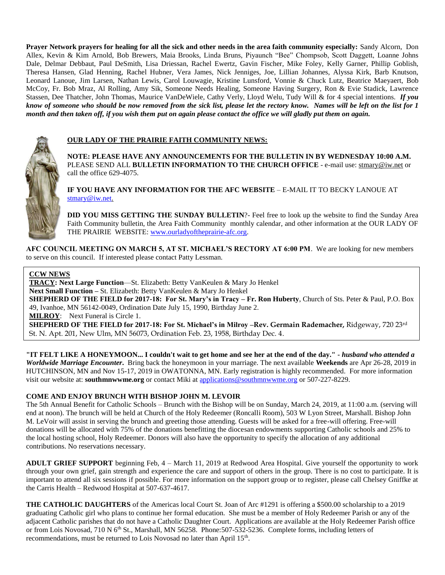**Prayer Network prayers for healing for all the sick and other needs in the area faith community especially:** Sandy Alcorn, Don Allex, Kevin & Kim Arnold, Bob Brewers, Maia Brooks, Linda Bruns, Piyaunch "Bee" Chompsob, Scott Daggett, Loanne Johns Dale, Delmar Debbaut, Paul DeSmith, Lisa Driessan, Rachel Ewertz, Gavin Fischer, Mike Foley, Kelly Garner, Phillip Goblish, Theresa Hansen, Glad Henning, Rachel Hubner, Vera James, Nick Jenniges, Joe, Lillian Johannes, Alyssa Kirk, Barb Knutson, Leonard Lanoue, Jim Larsen, Nathan Lewis, Carol Louwagie, Kristine Lunsford, Vonnie & Chuck Lutz, Beatrice Maeyaert, Bob McCoy, Fr. Bob Mraz, Al Rolling, Amy Sik, Someone Needs Healing, Someone Having Surgery, Ron & Evie Stadick, Lawrence Stassen, Dee Thatcher, John Thomas, Maurice VanDeWiele, Cathy Verly, Lloyd Welu, Tudy Will & for 4 special intentions. *If you know of someone who should be now removed from the sick list, please let the rectory know. Names will be left on the list for 1 month and then taken off, if you wish them put on again please contact the office we will gladly put them on again.*



#### **OUR LADY OF THE PRAIRIE FAITH COMMUNITY NEWS:**

**NOTE: PLEASE HAVE ANY ANNOUNCEMENTS FOR THE BULLETIN IN BY WEDNESDAY 10:00 A.M.** PLEASE SEND ALL **BULLETIN INFORMATION TO THE CHURCH OFFICE** - e-mail use[: stmary@iw.net](mailto:stmary@iw.net) or call the office 629-4075.

**IF YOU HAVE ANY INFORMATION FOR THE AFC WEBSITE** – E-MAIL IT TO BECKY LANOUE AT [stmary@iw.net.](mailto:stmary@iw.net)

**DID YOU MISS GETTING THE SUNDAY BULLETIN**?- Feel free to look up the website to find the Sunday Area Faith Community bulletin, the Area Faith Community monthly calendar, and other information at the OUR LADY OF THE PRAIRIE WEBSITE: [www.ourladyoftheprairie-afc.org.](http://www.ourladyoftheprairie-afc.org/)

**AFC COUNCIL MEETING ON MARCH 5, AT ST. MICHAEL'S RECTORY AT 6:00 PM**. We are looking for new members to serve on this council. If interested please contact Patty Lessman.

#### **CCW NEWS**

**TRACY: Next Large Function**—St. Elizabeth: Betty VanKeulen & Mary Jo Henkel **Next Small Function –** St. Elizabeth: Betty VanKeulen & Mary Jo Henkel **SHEPHERD OF THE FIELD for 2017-18: For St. Mary's in Tracy – Fr. Ron Huberty**, Church of Sts. Peter & Paul, P.O. Box 49, Ivanhoe, MN 56142-0049, Ordination Date July 15, 1990, Birthday June 2. **MILROY**: Next Funeral is Circle 1. **SHEPHERD OF THE FIELD for 2017-18: For St. Michael's in Milroy –Rev. Germain Rademacher,** Ridgeway, 720 23rd St. N. Apt. 201, New Ulm, MN 56073, Ordination Feb. 23, 1958, Birthday Dec. 4.

**"IT FELT LIKE A HONEYMOON... I couldn't wait to get home and see her at the end of the day." -** *husband who attended a Worldwide Marriage Encounter***.** Bring back the honeymoon in your marriage. The next available **Weekends** are Apr 26-28, 2019 in HUTCHINSON, MN and Nov 15-17, 2019 in OWATONNA, MN. Early registration is highly recommended. For more information visit our website at: **southmnwwme.org** or contact Miki at [applications@southmnwwme.org](mailto:wmandbethnickles@hotmail.com) or 507-227-8229.

#### **COME AND ENJOY BRUNCH WITH BISHOP JOHN M. LEVOIR**

The 5th Annual Benefit for Catholic Schools – Brunch with the Bishop will be on Sunday, March 24, 2019, at 11:00 a.m. (serving will end at noon). The brunch will be held at Church of the Holy Redeemer (Roncalli Room), 503 W Lyon Street, Marshall. Bishop John M. LeVoir will assist in serving the brunch and greeting those attending. Guests will be asked for a free-will offering. Free-will donations will be allocated with 75% of the donations benefitting the diocesan endowments supporting Catholic schools and 25% to the local hosting school, Holy Redeemer. Donors will also have the opportunity to specify the allocation of any additional contributions. No reservations necessary.

**ADULT GRIEF SUPPORT** beginning Feb, 4 – March 11, 2019 at Redwood Area Hospital. Give yourself the opportunity to work through your own grief, gain strength and experience the care and support of others in the group. There is no cost to participate. It is important to attend all six sessions if possible. For more information on the support group or to register, please call Chelsey Gniffke at the Carris Health – Redwood Hospital at 507-637-4617.

**THE CATHOLIC DAUGHTERS** of the Americas local Court St. Joan of Arc #1291 is offering a \$500.00 scholarship to a 2019 graduating Catholic girl who plans to continue her formal education. She must be a member of Holy Redeemer Parish or any of the adjacent Catholic parishes that do not have a Catholic Daughter Court. Applications are available at the Holy Redeemer Parish office or from Lois Novosad, 710 N 6<sup>th</sup> St., Marshall, MN 56258. Phone:507-532-5236. Complete forms, including letters of recommendations, must be returned to Lois Novosad no later than April 15<sup>th</sup>.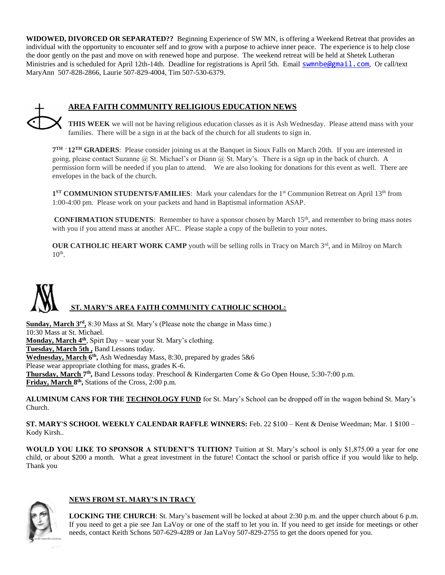**WIDOWED, DIVORCED OR SEPARATED??** Beginning Experience of SW MN, is offering a Weekend Retreat that provides an individual with the opportunity to encounter self and to grow with a purpose to achieve inner peace. The experience is to help close the door gently on the past and move on with renewed hope and purpose. The weekend retreat will be held at Shetek Lutheran Ministries and is scheduled for April 12th-14th. Deadline for registrations is April 5th. Email [swmnbe@gmail.com](mailto:swmnbe@gmail.com), Or call/text MaryAnn 507-828-2866, Laurie 507-829-4004, Tim 507-530-6379.



## **AREA FAITH COMMUNITY RELIGIOUS EDUCATION NEWS**

**THIS WEEK** we will not be having religious education classes as it is Ash Wednesday. Please attend mass with your families. There will be a sign in at the back of the church for all students to sign in.

**7 TH - 12TH GRADERS**: Please consider joining us at the Banquet in Sioux Falls on March 20th. If you are interested in going, please contact Suzanne  $\omega$  St. Michael's or Diann  $\omega$  St. Mary's. There is a sign up in the back of church. A permission form will be needed if you plan to attend. We are also looking for donations for this event as well. There are envelopes in the back of the church.

1<sup>ST</sup> COMMUNION STUDENTS/FAMILIES: Mark your calendars for the 1<sup>st</sup> Communion Retreat on April 13<sup>th</sup> from 1:00-4:00 pm. Please work on your packets and hand in Baptismal information ASAP.

**CONFIRMATION STUDENTS:** Remember to have a sponsor chosen by March 15<sup>th</sup>, and remember to bring mass notes with you if you attend mass at another AFC. Please staple a copy of the bulletin to your notes.

**OUR CATHOLIC HEART WORK CAMP** youth will be selling rolls in Tracy on March 3<sup>rd</sup>, and in Milroy on March  $10<sup>th</sup>$ .

# **ST. MARY'S AREA FAITH COMMUNITY CATHOLIC SCHOOL:**

Sunday, March 3<sup>rd</sup>, 8:30 Mass at St. Mary's (Please note the change in Mass time.) 10:30 Mass at St. Michael. **Monday, March 4th**, Spirt Day ~ wear your St. Mary's clothing. **Tuesday, March 5th ,** Band Lessons today. **Wednesday, March 6 th ,** Ash Wednesday Mass, 8:30, prepared by grades 5&6 Please wear appropriate clothing for mass, grades K-6. Thursday, March 7<sup>th</sup>, Band Lessons today. Preschool & Kindergarten Come & Go Open House, 5:30-7:00 p.m. **Friday, March 8 th ,** Stations of the Cross, 2:00 p.m.

**ALUMINUM CANS FOR THE TECHNOLOGY FUND** for St. Mary's School can be dropped off in the wagon behind St. Mary's Church.

**ST. MARY'S SCHOOL WEEKLY CALENDAR RAFFLE WINNERS:** Feb. 22 \$100 – Kent & Denise Weedman; Mar. 1 \$100 – Kody Kirsh..

**WOULD YOU LIKE TO SPONSOR A STUDENT'S TUITION?** Tuition at St. Mary's school is only \$1,875.00 a year for one child, or about \$200 a month. What a great investment in the future! Contact the school or parish office if you would like to help. Thank you



## **NEWS FROM ST. MARY'S IN TRACY**

**LOCKING THE CHURCH**: St. Mary's basement will be locked at about 2:30 p.m. and the upper church about 6 p.m. If you need to get a pie see Jan LaVoy or one of the staff to let you in. If you need to get inside for meetings or other needs, contact Keith Schons 507-629-4289 or Jan LaVoy 507-829-2755 to get the doors opened for you.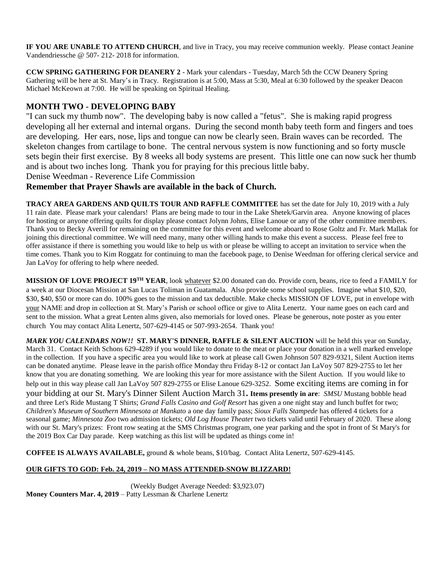**IF YOU ARE UNABLE TO ATTEND CHURCH**, and live in Tracy, you may receive communion weekly. Please contact Jeanine Vandendriessche @ 507- 212- 2018 for information.

**CCW SPRING GATHERING FOR DEANERY 2** - Mark your calendars - Tuesday, March 5th the CCW Deanery Spring Gathering will be here at St. Mary's in Tracy. Registration is at 5:00, Mass at 5:30, Meal at 6:30 followed by the speaker Deacon Michael McKeown at 7:00. He will be speaking on Spiritual Healing.

## **MONTH TWO - DEVELOPING BABY**

"I can suck my thumb now". The developing baby is now called a "fetus". She is making rapid progress developing all her external and internal organs. During the second month baby teeth form and fingers and toes are developing. Her ears, nose, lips and tongue can now be clearly seen. Brain waves can be recorded. The skeleton changes from cartilage to bone. The central nervous system is now functioning and so forty muscle sets begin their first exercise. By 8 weeks all body systems are present. This little one can now suck her thumb and is about two inches long. Thank you for praying for this precious little baby. Denise Weedman - Reverence Life Commission

## **Remember that Prayer Shawls are available in the back of Church.**

**TRACY AREA GARDENS AND QUILTS TOUR AND RAFFLE COMMITTEE** has set the date for July 10, 2019 with a July 11 rain date. Please mark your calendars! Plans are being made to tour in the Lake Shetek/Garvin area. Anyone knowing of places for hosting or anyone offering quilts for display please contact Jolynn Johns, Elise Lanoue or any of the other committee members. Thank you to Becky Averill for remaining on the committee for this event and welcome aboard to Rose Goltz and Fr. Mark Mallak for joining this directional committee. We will need many, many other willing hands to make this event a success. Please feel free to offer assistance if there is something you would like to help us with or please be willing to accept an invitation to service when the time comes. Thank you to Kim Roggatz for continuing to man the facebook page, to Denise Weedman for offering clerical service and Jan LaVoy for offering to help where needed.

**MISSION OF LOVE PROJECT 19TH YEAR**, look whatever \$2.00 donated can do. Provide corn, beans, rice to feed a FAMILY for a week at our Diocesan Mission at San Lucas Toliman in Guatamala. Also provide some school supplies. Imagine what \$10, \$20, \$30, \$40, \$50 or more can do. 100% goes to the mission and tax deductible. Make checks MISSION OF LOVE, put in envelope with your NAME and drop in collection at St. Mary's Parish or school office or give to Alita Lenertz. Your name goes on each card and sent to the mission. What a great Lenten alms given, also memorials for loved ones. Please be generous, note poster as you enter church You may contact Alita Lenertz, 507-629-4145 or 507-993-2654. Thank you!

*MARK YOU CALENDARS NOW!!* **ST. MARY'S DINNER, RAFFLE & SILENT AUCTION** will be held this year on Sunday, March 31. Contact Keith Schons 629-4289 if you would like to donate to the meat or place your donation in a well marked envelope in the collection. If you have a specific area you would like to work at please call Gwen Johnson 507 829-9321, Silent Auction items can be donated anytime. Please leave in the parish office Monday thru Friday 8-12 or contact Jan LaVoy 507 829-2755 to let her know that you are donating something. We are looking this year for more assistance with the Silent Auction. If you would like to help out in this way please call Jan LaVoy 507 829-2755 or Elise Lanoue 629-3252. Some exciting items are coming in for your bidding at our St. Mary's Dinner Silent Auction March 31**. Items presently in are**: *SMSU* Mustang bobble head and three Let's Ride Mustang T Shirts; *Grand Falls Casino and Golf Resort* has given a one night stay and lunch buffet for two; *Children's Museum of Southern Minnesota at Mankato* a one day family pass; *Sioux Falls Stampede* has offered 4 tickets for a seasonal game; *Minnesota Zoo* two admission tickets; *Old Log House Theate*r two tickets valid until February of 2020. These along with our St. Mary's prizes: Front row seating at the SMS Christmas program, one year parking and the spot in front of St Mary's for the 2019 Box Car Day parade. Keep watching as this list will be updated as things come in!

**COFFEE IS ALWAYS AVAILABLE,** ground & whole beans, \$10/bag. Contact Alita Lenertz, 507-629-4145.

## **OUR GIFTS TO GOD: Feb. 24, 2019 – NO MASS ATTENDED-SNOW BLIZZARD!**

(Weekly Budget Average Needed: \$3,923.07) **Money Counters Mar. 4, 2019** – Patty Lessman & Charlene Lenertz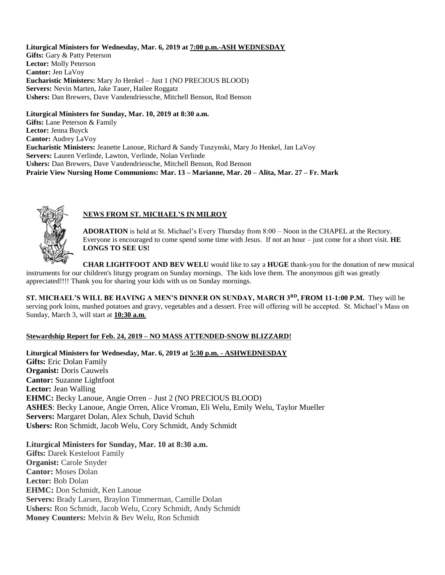#### **Liturgical Ministers for Wednesday, Mar. 6, 2019 at 7:00 p.m.-ASH WEDNESDAY**

Gifts: Gary & Patty Peterson **Lector:** Molly Peterson **Cantor:** Jen LaVoy **Eucharistic Ministers:** Mary Jo Henkel – Just 1 (NO PRECIOUS BLOOD) **Servers:** Nevin Marten, Jake Tauer, Hailee Roggatz **Ushers:** Dan Brewers, Dave Vandendriessche, Mitchell Benson, Rod Benson

### **Liturgical Ministers for Sunday, Mar. 10, 2019 at 8:30 a.m.**

**Gifts:** Lane Peterson & Family **Lector:** Jenna Buyck **Cantor:** Audrey LaVoy **Eucharistic Ministers:** Jeanette Lanoue, Richard & Sandy Tuszynski, Mary Jo Henkel, Jan LaVoy **Servers:** Lauren Verlinde, Lawton, Verlinde, Nolan Verlinde **Ushers:** Dan Brewers, Dave Vandendriessche, Mitchell Benson, Rod Benson **Prairie View Nursing Home Communions: Mar. 13 – Marianne, Mar. 20 – Alita, Mar. 27 – Fr. Mark**



## **NEWS FROM ST. MICHAEL'S IN MILROY**

**ADORATION** is held at St. Michael's Every Thursday from 8:00 – Noon in the CHAPEL at the Rectory. Everyone is encouraged to come spend some time with Jesus. If not an hour – just come for a short visit. **HE LONGS TO SEE US!**

**CHAR LIGHTFOOT AND BEV WELU** would like to say a **HUGE** thank-you for the donation of new musical instruments for our children's liturgy program on Sunday mornings. The kids love them. The anonymous gift was greatly appreciated!!!! Thank you for sharing your kids with us on Sunday mornings.

**ST. MICHAEL'S WILL BE HAVING A MEN'S DINNER ON SUNDAY, MARCH 3RD, FROM 11-1:00 P.M.** They will be serving pork loins, mashed potatoes and gravy, vegetables and a dessert. Free will offering will be accepted. St. Michael's Mass on Sunday, March 3, will start at **10:30 a.m**.

### **Stewardship Report for Feb. 24, 2019 – NO MASS ATTENDED-SNOW BLIZZARD!**

**Liturgical Ministers for Wednesday, Mar. 6, 2019 at 5:30 p.m. - ASHWEDNESDAY Gifts:** Eric Dolan Family **Organist:** Doris Cauwels **Cantor:** Suzanne Lightfoot **Lector:** Jean Walling **EHMC:** Becky Lanoue, Angie Orren – Just 2 (NO PRECIOUS BLOOD) **ASHES**: Becky Lanoue, Angie Orren, Alice Vroman, Eli Welu, Emily Welu, Taylor Mueller **Servers:** Margaret Dolan, Alex Schuh, David Schuh **Ushers:** Ron Schmidt, Jacob Welu, Cory Schmidt, Andy Schmidt

## **Liturgical Ministers for Sunday, Mar. 10 at 8:30 a.m.**

**Gifts:** Darek Kesteloot Family **Organist:** Carole Snyder **Cantor:** Moses Dolan **Lector:** Bob Dolan **EHMC:** Don Schmidt, Ken Lanoue **Servers:** Brady Larsen, Braylon Timmerman, Camille Dolan **Ushers:** Ron Schmidt, Jacob Welu, Ccory Schmidt, Andy Schmidt **Money Counters:** Melvin & Bev Welu, Ron Schmidt